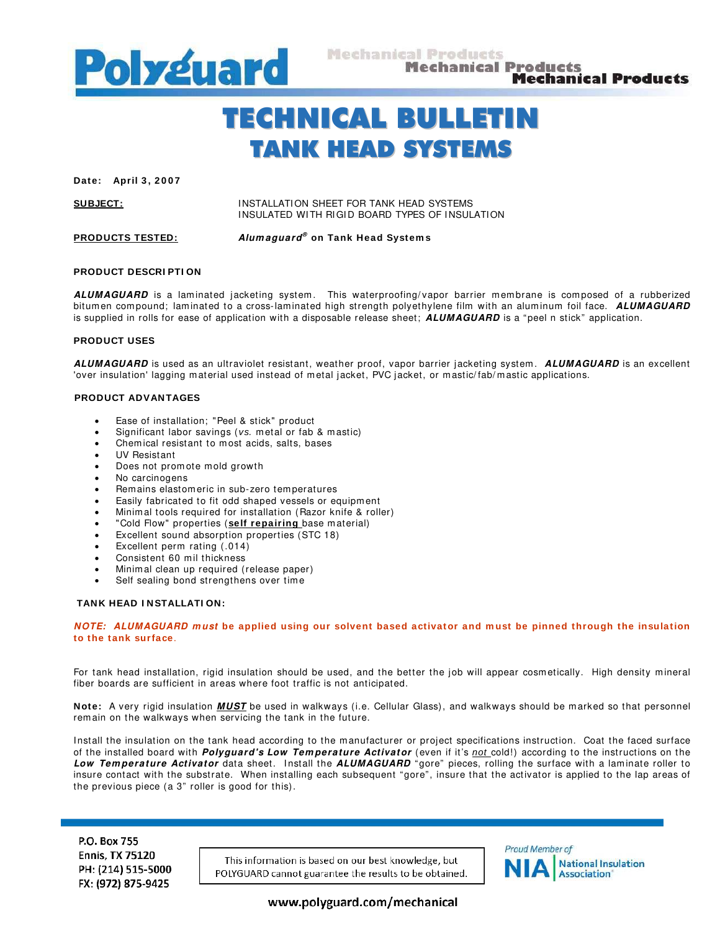

# TECHNICAL BULLETIN TANK HEAD SYSTEMS

Date: April 3, 2007

**SUBJECT:** INSTALLATION SHEET FOR TANK HEAD SYSTEMS INSULATED WITH RIGID BOARD TYPES OF INSULATION

**PRODUCTS TESTED: Alum aguard® on Tank Head System s** 

### **PRODUCT DESCRI PTI ON**

ALUMAGUARD is a laminated jacketing system. This waterproofing/vapor barrier membrane is composed of a rubberized bitum en com pound; lam inated to a cross-lam inated high strength polyethylene film with an alum inum foil face. **ALUMAGUARD** is supplied in rolls for ease of application with a disposable release sheet; **ALUMAGUARD** is a "peel n stick" application.

### **PRODUCT USES**

**ALUMAGUARD** is used as an ultraviolet resistant, weather proof, vapor barrier jacketing system . **ALUMAGUARD** is an excellent 'over insulation' lagging m aterial used instead of metal jacket, PVC jacket, or mastic/ fab/ mastic applications.

## **PRODUCT ADVANTAGES**

- Ease of installation; "Peel & stick" product
- Significant labor savings (vs. metal or fab & mastic)
- Chemical resistant to most acids, salts, bases
- UV Resistant
- Does not promote mold growth
- No carcinogens
- Remains elastomeric in sub-zero temperatures
- Easily fabricated to fit odd shaped vessels or equipment
- Minimal tools required for installation (Razor knife & roller)
- "Cold Flow" properties (**self repairing** base m aterial)
- Excellent sound absorption properties (STC 18)
- Excellent perm rating (.014)
- Consistent 60 mil thickness
- Minim al clean up required (release paper)
- Self sealing bond strengthens over time

#### **TANK HEAD I NSTALLATI ON:**

**NOTE: ALUMAGUARD m ust be applied using our solvent based activator and m ust be pinned through the insulation to the tank surface**.

For tank head installation, rigid insulation should be used, and the better the job will appear cosm etically. High density m ineral fiber boards are sufficient in areas where foot traffic is not anticipated.

**Note:** A very rigid insulation **MUST** be used in walkways (i.e. Cellular Glass), and walkways should be marked so that personnel rem ain on the walkways when servicing the tank in the future.

Install the insulation on the tank head according to the manufacturer or project specifications instruction. Coat the faced surface of the installed board with **Polyguard's Low Tem perature Activator** (even if it's not cold!) according to the instructions on the Low Temperature Activator data sheet. Install the ALUMAGUARD "gore" pieces, rolling the surface with a laminate roller to insure contact with the substrate. When installing each subsequent "gore", insure that the activator is applied to the lap areas of the previous piece (a 3" roller is good for this).

P.O. Box 755 **Ennis, TX 75120** PH: (214) 515-5000 FX: (972) 875-9425

This information is based on our best knowledge, but POLYGUARD cannot guarantee the results to be obtained.



www.polyguard.com/mechanical